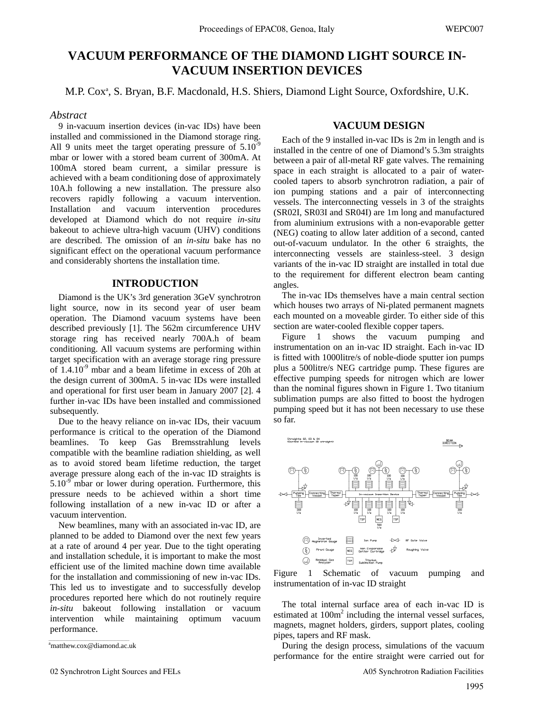# **VACUUM PERFORMANCE OF THE DIAMOND LIGHT SOURCE IN-VACUUM INSERTION DEVICES**

M.P. Cox<sup>a</sup>, S. Bryan, B.F. Macdonald, H.S. Shiers, Diamond Light Source, Oxfordshire, U.K.

#### *Abstract*

9 in-vacuum insertion devices (in-vac IDs) have been installed and commissioned in the Diamond storage ring. All 9 units meet the target operating pressure of  $5.10<sup>9</sup>$ mbar or lower with a stored beam current of 300mA. At 100mA stored beam current, a similar pressure is achieved with a beam conditioning dose of approximately 10A.h following a new installation. The pressure also recovers rapidly following a vacuum intervention. Installation and vacuum intervention procedures developed at Diamond which do not require *in-situ* bakeout to achieve ultra-high vacuum (UHV) conditions are described. The omission of an *in-situ* bake has no significant effect on the operational vacuum performance and considerably shortens the installation time.

# **INTRODUCTION**

Diamond is the UK's 3rd generation 3GeV synchrotron light source, now in its second year of user beam operation. The Diamond vacuum systems have been described previously [1]. The 562m circumference UHV storage ring has received nearly 700A.h of beam conditioning. All vacuum systems are performing within target specification with an average storage ring pressure of 1.4.10-9 mbar and a beam lifetime in excess of 20h at the design current of 300mA. 5 in-vac IDs were installed and operational for first user beam in January 2007 [2]. 4 further in-vac IDs have been installed and commissioned subsequently.

Due to the heavy reliance on in-vac IDs, their vacuum performance is critical to the operation of the Diamond beamlines. To keep Gas Bremsstrahlung levels compatible with the beamline radiation shielding, as well as to avoid stored beam lifetime reduction, the target average pressure along each of the in-vac ID straights is  $5.10^{-9}$  mbar or lower during operation. Furthermore, this pressure needs to be achieved within a short time following installation of a new in-vac ID or after a vacuum intervention.

New beamlines, many with an associated in-vac ID, are planned to be added to Diamond over the next few years at a rate of around 4 per year. Due to the tight operating and installation schedule, it is important to make the most efficient use of the limited machine down time available for the installation and commissioning of new in-vac IDs. This led us to investigate and to successfully develop procedures reported here which do not routinely require *in-situ* bakeout following installation or vacuum intervention while maintaining optimum vacuum performance.

### **VACUUM DESIGN**

Each of the 9 installed in-vac IDs is 2m in length and is installed in the centre of one of Diamond's 5.3m straights between a pair of all-metal RF gate valves. The remaining space in each straight is allocated to a pair of watercooled tapers to absorb synchrotron radiation, a pair of ion pumping stations and a pair of interconnecting vessels. The interconnecting vessels in 3 of the straights (SR02I, SR03I and SR04I) are 1m long and manufactured from aluminium extrusions with a non-evaporable getter (NEG) coating to allow later addition of a second, canted out-of-vacuum undulator. In the other 6 straights, the interconnecting vessels are stainless-steel. 3 design variants of the in-vac ID straight are installed in total due to the requirement for different electron beam canting angles.

The in-vac IDs themselves have a main central section which houses two arrays of Ni-plated permanent magnets each mounted on a moveable girder. To either side of this section are water-cooled flexible copper tapers.

Figure 1 shows the vacuum pumping and instrumentation on an in-vac ID straight. Each in-vac ID is fitted with 1000litre/s of noble-diode sputter ion pumps plus a 500litre/s NEG cartridge pump. These figures are effective pumping speeds for nitrogen which are lower than the nominal figures shown in Figure 1. Two titanium sublimation pumps are also fitted to boost the hydrogen pumping speed but it has not been necessary to use these so far.





The total internal surface area of each in-vac ID is estimated at 100m<sup>2</sup> including the internal vessel surfaces, magnets, magnet holders, girders, support plates, cooling pipes, tapers and RF mask.

During the design process, simulations of the vacuum performance for the entire straight were carried out for

<sup>&</sup>lt;sup>a</sup>matthew.cox@diamond.ac.uk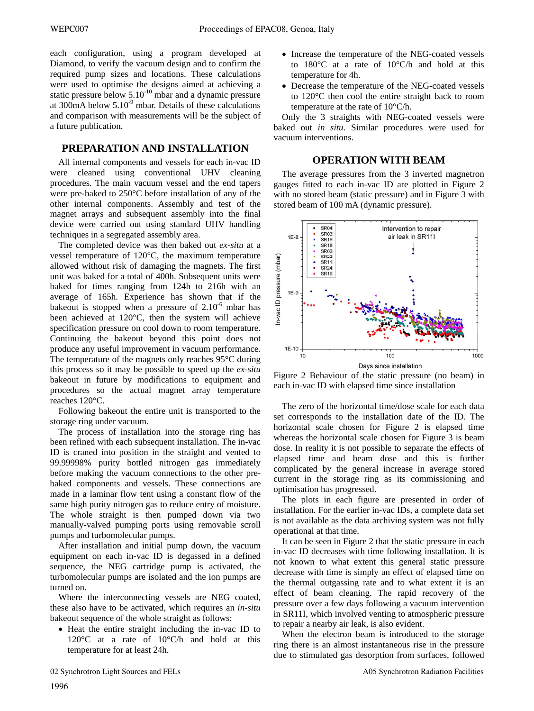each configuration, using a program developed at Diamond, to verify the vacuum design and to confirm the required pump sizes and locations. These calculations were used to optimise the designs aimed at achieving a static pressure below  $5.10^{-10}$  mbar and a dynamic pressure at 300mA below  $5.10<sup>-9</sup>$  mbar. Details of these calculations and comparison with measurements will be the subject of a future publication.

## **PREPARATION AND INSTALLATION**

All internal components and vessels for each in-vac ID were cleaned using conventional UHV cleaning procedures. The main vacuum vessel and the end tapers were pre-baked to 250°C before installation of any of the other internal components. Assembly and test of the magnet arrays and subsequent assembly into the final device were carried out using standard UHV handling techniques in a segregated assembly area.

The completed device was then baked out *ex-situ* at a vessel temperature of 120°C, the maximum temperature allowed without risk of damaging the magnets. The first unit was baked for a total of 400h. Subsequent units were baked for times ranging from 124h to 216h with an average of 165h. Experience has shown that if the bakeout is stopped when a pressure of  $2.10^{-6}$  mbar has been achieved at 120°C, then the system will achieve specification pressure on cool down to room temperature. Continuing the bakeout beyond this point does not produce any useful improvement in vacuum performance. The temperature of the magnets only reaches 95°C during this process so it may be possible to speed up the *ex-situ* bakeout in future by modifications to equipment and procedures so the actual magnet array temperature reaches 120°C.

Following bakeout the entire unit is transported to the storage ring under vacuum.

The process of installation into the storage ring has been refined with each subsequent installation. The in-vac ID is craned into position in the straight and vented to 99.99998% purity bottled nitrogen gas immediately before making the vacuum connections to the other prebaked components and vessels. These connections are made in a laminar flow tent using a constant flow of the same high purity nitrogen gas to reduce entry of moisture. The whole straight is then pumped down via two manually-valved pumping ports using removable scroll pumps and turbomolecular pumps.

After installation and initial pump down, the vacuum equipment on each in-vac ID is degassed in a defined sequence, the NEG cartridge pump is activated, the turbomolecular pumps are isolated and the ion pumps are turned on.

Where the interconnecting vessels are NEG coated, these also have to be activated, which requires an *in-situ* bakeout sequence of the whole straight as follows:

• Heat the entire straight including the in-vac ID to 120°C at a rate of 10°C/h and hold at this temperature for at least 24h.

- Increase the temperature of the NEG-coated vessels to 180°C at a rate of 10°C/h and hold at this temperature for 4h.
- Decrease the temperature of the NEG-coated vessels to 120°C then cool the entire straight back to room temperature at the rate of 10°C/h.

Only the 3 straights with NEG-coated vessels were baked out *in situ*. Similar procedures were used for vacuum interventions.

# **OPERATION WITH BEAM**

The average pressures from the 3 inverted magnetron gauges fitted to each in-vac ID are plotted in Figure 2 with no stored beam (static pressure) and in Figure 3 with stored beam of 100 mA (dynamic pressure).



Figure 2 Behaviour of the static pressure (no beam) in each in-vac ID with elapsed time since installation

The zero of the horizontal time/dose scale for each data set corresponds to the installation date of the ID. The horizontal scale chosen for Figure 2 is elapsed time whereas the horizontal scale chosen for Figure 3 is beam dose. In reality it is not possible to separate the effects of elapsed time and beam dose and this is further complicated by the general increase in average stored current in the storage ring as its commissioning and optimisation has progressed.

The plots in each figure are presented in order of installation. For the earlier in-vac IDs, a complete data set is not available as the data archiving system was not fully operational at that time.

It can be seen in Figure 2 that the static pressure in each in-vac ID decreases with time following installation. It is not known to what extent this general static pressure decrease with time is simply an effect of elapsed time on the thermal outgassing rate and to what extent it is an effect of beam cleaning. The rapid recovery of the pressure over a few days following a vacuum intervention in SR11I, which involved venting to atmospheric pressure to repair a nearby air leak, is also evident.

When the electron beam is introduced to the storage ring there is an almost instantaneous rise in the pressure due to stimulated gas desorption from surfaces, followed